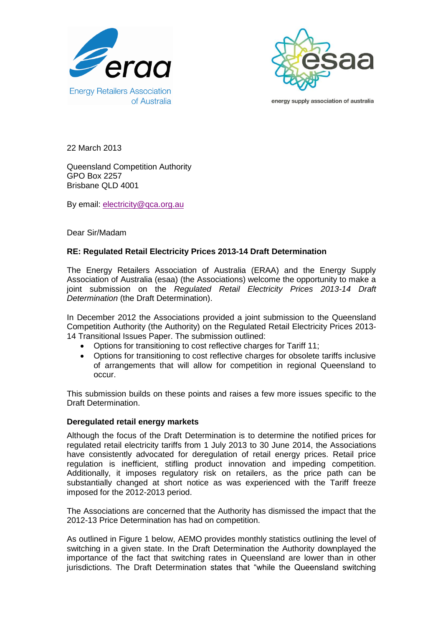



energy supply association of australia

22 March 2013

Queensland Competition Authority GPO Box 2257 Brisbane QLD 4001

By email: [electricity@qca.org.au](mailto:electricity@qca.org.au)

Dear Sir/Madam

## **RE: Regulated Retail Electricity Prices 2013-14 Draft Determination**

The Energy Retailers Association of Australia (ERAA) and the Energy Supply Association of Australia (esaa) (the Associations) welcome the opportunity to make a joint submission on the *Regulated Retail Electricity Prices 2013-14 Draft Determination* (the Draft Determination).

In December 2012 the Associations provided a joint submission to the Queensland Competition Authority (the Authority) on the Regulated Retail Electricity Prices 2013- 14 Transitional Issues Paper. The submission outlined:

- Options for transitioning to cost reflective charges for Tariff 11;
- Options for transitioning to cost reflective charges for obsolete tariffs inclusive of arrangements that will allow for competition in regional Queensland to occur.

This submission builds on these points and raises a few more issues specific to the Draft Determination.

#### **Deregulated retail energy markets**

Although the focus of the Draft Determination is to determine the notified prices for regulated retail electricity tariffs from 1 July 2013 to 30 June 2014, the Associations have consistently advocated for deregulation of retail energy prices. Retail price regulation is inefficient, stifling product innovation and impeding competition. Additionally, it imposes regulatory risk on retailers, as the price path can be substantially changed at short notice as was experienced with the Tariff freeze imposed for the 2012-2013 period.

The Associations are concerned that the Authority has dismissed the impact that the 2012-13 Price Determination has had on competition.

As outlined in Figure 1 below, AEMO provides monthly statistics outlining the level of switching in a given state. In the Draft Determination the Authority downplayed the importance of the fact that switching rates in Queensland are lower than in other jurisdictions. The Draft Determination states that "while the Queensland switching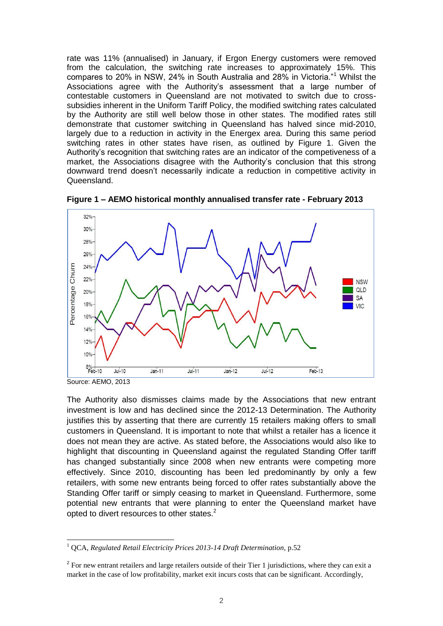rate was 11% (annualised) in January, if Ergon Energy customers were removed from the calculation, the switching rate increases to approximately 15%. This compares to 20% in NSW, 24% in South Australia and 28% in Victoria."<sup>1</sup> Whilst the Associations agree with the Authority's assessment that a large number of contestable customers in Queensland are not motivated to switch due to crosssubsidies inherent in the Uniform Tariff Policy, the modified switching rates calculated by the Authority are still well below those in other states. The modified rates still demonstrate that customer switching in Queensland has halved since mid-2010, largely due to a reduction in activity in the Energex area. During this same period switching rates in other states have risen, as outlined by Figure 1. Given the Authority's recognition that switching rates are an indicator of the competiveness of a market, the Associations disagree with the Authority's conclusion that this strong downward trend doesn't necessarily indicate a reduction in competitive activity in Queensland.



**Figure 1 – AEMO historical monthly annualised transfer rate - February 2013**

The Authority also dismisses claims made by the Associations that new entrant investment is low and has declined since the 2012-13 Determination. The Authority justifies this by asserting that there are currently 15 retailers making offers to small customers in Queensland. It is important to note that whilst a retailer has a licence it does not mean they are active. As stated before, the Associations would also like to highlight that discounting in Queensland against the regulated Standing Offer tariff has changed substantially since 2008 when new entrants were competing more effectively. Since 2010, discounting has been led predominantly by only a few retailers, with some new entrants being forced to offer rates substantially above the Standing Offer tariff or simply ceasing to market in Queensland. Furthermore, some potential new entrants that were planning to enter the Queensland market have opted to divert resources to other states.<sup>2</sup>

Source: AEMO, 2013

<sup>&</sup>lt;sup>1</sup> OCA, *Regulated Retail Electricity Prices 2013-14 Draft Determination, p.52* 

 $2^{2}$  For new entrant retailers and large retailers outside of their Tier 1 jurisdictions, where they can exit a market in the case of low profitability, market exit incurs costs that can be significant. Accordingly,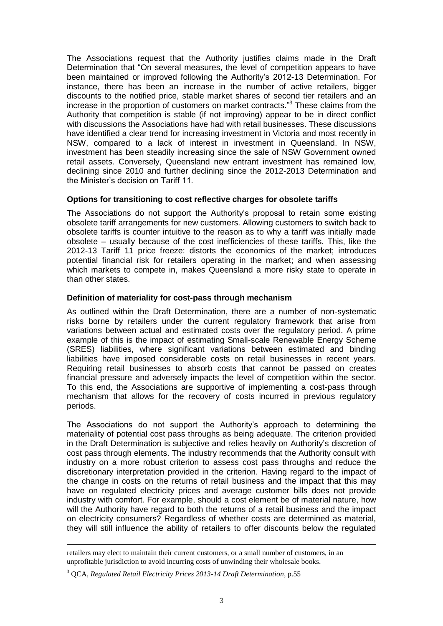The Associations request that the Authority justifies claims made in the Draft Determination that "On several measures, the level of competition appears to have been maintained or improved following the Authority's 2012-13 Determination. For instance, there has been an increase in the number of active retailers, bigger discounts to the notified price, stable market shares of second tier retailers and an increase in the proportion of customers on market contracts." <sup>3</sup> These claims from the Authority that competition is stable (if not improving) appear to be in direct conflict with discussions the Associations have had with retail businesses. These discussions have identified a clear trend for increasing investment in Victoria and most recently in NSW, compared to a lack of interest in investment in Queensland. In NSW, investment has been steadily increasing since the sale of NSW Government owned retail assets. Conversely, Queensland new entrant investment has remained low, declining since 2010 and further declining since the 2012-2013 Determination and the Minister's decision on Tariff 11.

### **Options for transitioning to cost reflective charges for obsolete tariffs**

The Associations do not support the Authority's proposal to retain some existing obsolete tariff arrangements for new customers. Allowing customers to switch back to obsolete tariffs is counter intuitive to the reason as to why a tariff was initially made obsolete – usually because of the cost inefficiencies of these tariffs. This, like the 2012-13 Tariff 11 price freeze: distorts the economics of the market; introduces potential financial risk for retailers operating in the market; and when assessing which markets to compete in, makes Queensland a more risky state to operate in than other states.

### **Definition of materiality for cost-pass through mechanism**

As outlined within the Draft Determination, there are a number of non-systematic risks borne by retailers under the current regulatory framework that arise from variations between actual and estimated costs over the regulatory period. A prime example of this is the impact of estimating Small-scale Renewable Energy Scheme (SRES) liabilities, where significant variations between estimated and binding liabilities have imposed considerable costs on retail businesses in recent years. Requiring retail businesses to absorb costs that cannot be passed on creates financial pressure and adversely impacts the level of competition within the sector. To this end, the Associations are supportive of implementing a cost-pass through mechanism that allows for the recovery of costs incurred in previous regulatory periods.

The Associations do not support the Authority's approach to determining the materiality of potential cost pass throughs as being adequate. The criterion provided in the Draft Determination is subjective and relies heavily on Authority's discretion of cost pass through elements. The industry recommends that the Authority consult with industry on a more robust criterion to assess cost pass throughs and reduce the discretionary interpretation provided in the criterion. Having regard to the impact of the change in costs on the returns of retail business and the impact that this may have on regulated electricity prices and average customer bills does not provide industry with comfort. For example, should a cost element be of material nature, how will the Authority have regard to both the returns of a retail business and the impact on electricity consumers? Regardless of whether costs are determined as material, they will still influence the ability of retailers to offer discounts below the regulated

-

retailers may elect to maintain their current customers, or a small number of customers, in an unprofitable jurisdiction to avoid incurring costs of unwinding their wholesale books.

<sup>&</sup>lt;sup>3</sup> QCA, *Regulated Retail Electricity Prices 2013-14 Draft Determination*, p.55